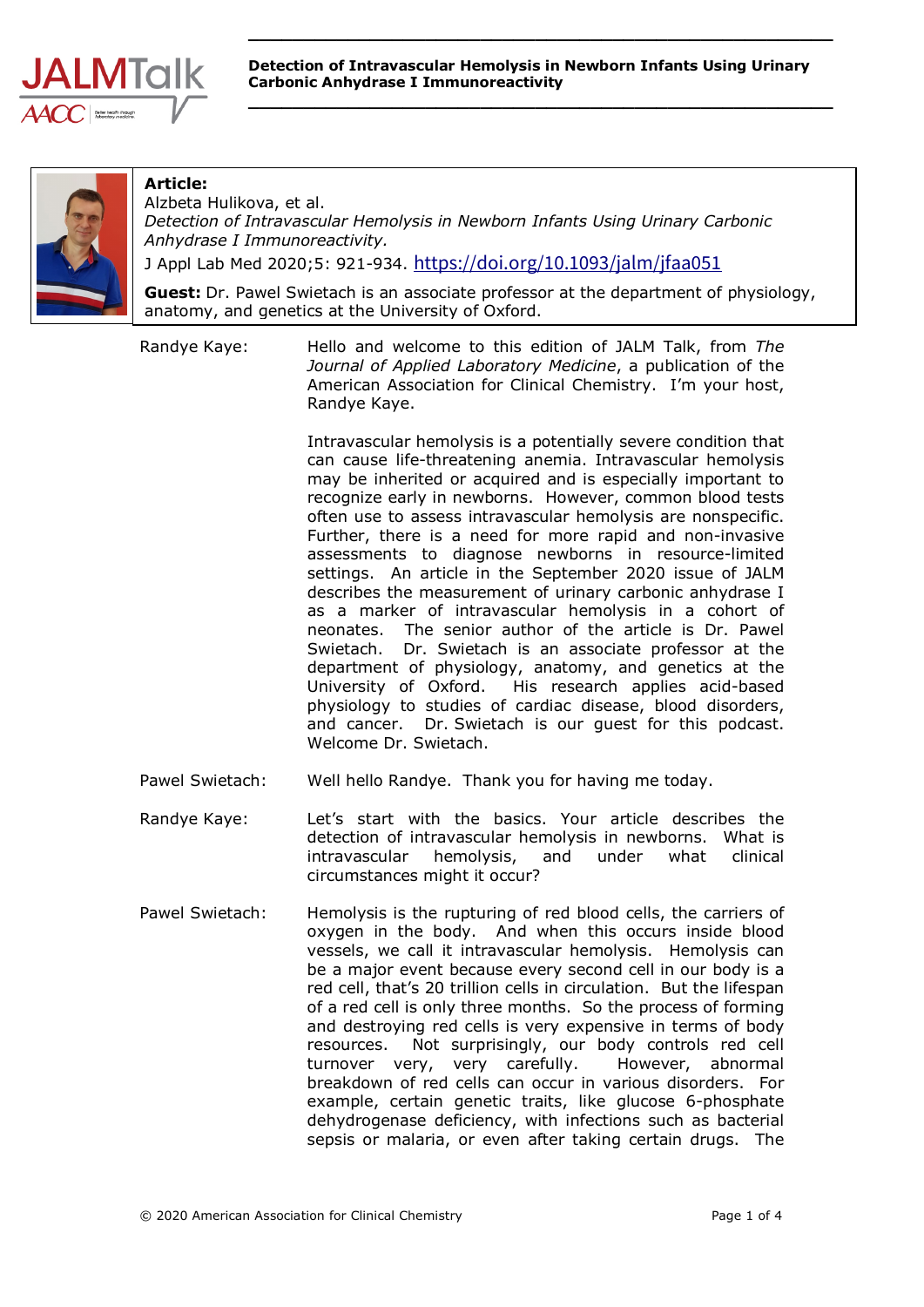

**\_\_\_\_\_\_\_\_\_\_\_\_\_\_\_\_\_\_\_\_\_\_\_\_\_\_\_\_\_\_\_\_\_\_\_\_\_\_\_\_\_\_\_\_\_\_\_\_\_\_\_\_\_**



## **Article:**

Alzbeta Hulikova, et al. *Detection of Intravascular Hemolysis in Newborn Infants Using Urinary Carbonic Anhydrase I Immunoreactivity.* J Appl Lab Med 2020;5: 921-934. <https://doi.org/10.1093/jalm/jfaa051>

**Guest:** Dr. Pawel Swietach is an associate professor at the department of physiology, anatomy, and genetics at the University of Oxford.

Randye Kaye: Hello and welcome to this edition of JALM Talk, from *The Journal of Applied Laboratory Medicine*, a publication of the American Association for Clinical Chemistry. I'm your host, Randye Kaye.

> Intravascular hemolysis is a potentially severe condition that can cause life-threatening anemia. Intravascular hemolysis may be inherited or acquired and is especially important to recognize early in newborns. However, common blood tests often use to assess intravascular hemolysis are nonspecific. Further, there is a need for more rapid and non-invasive assessments to diagnose newborns in resource-limited settings. An article in the September 2020 issue of JALM describes the measurement of urinary carbonic anhydrase I as a marker of intravascular hemolysis in a cohort of neonates. The senior author of the article is Dr. Pawel Swietach. Dr. Swietach is an associate professor at the department of physiology, anatomy, and genetics at the University of Oxford. His research applies acid-based physiology to studies of cardiac disease, blood disorders, and cancer. Dr. Swietach is our guest for this podcast. Welcome Dr. Swietach.

- Pawel Swietach: Well hello Randye. Thank you for having me today.
- Randye Kaye: Let's start with the basics. Your article describes the detection of intravascular hemolysis in newborns. What is intravascular hemolysis, and under what clinical circumstances might it occur?
- Pawel Swietach: Hemolysis is the rupturing of red blood cells, the carriers of oxygen in the body. And when this occurs inside blood vessels, we call it intravascular hemolysis. Hemolysis can be a major event because every second cell in our body is a red cell, that's 20 trillion cells in circulation. But the lifespan of a red cell is only three months. So the process of forming and destroying red cells is very expensive in terms of body resources. Not surprisingly, our body controls red cell turnover very, very carefully. However, abnormal breakdown of red cells can occur in various disorders. For example, certain genetic traits, like glucose 6-phosphate dehydrogenase deficiency, with infections such as bacterial sepsis or malaria, or even after taking certain drugs. The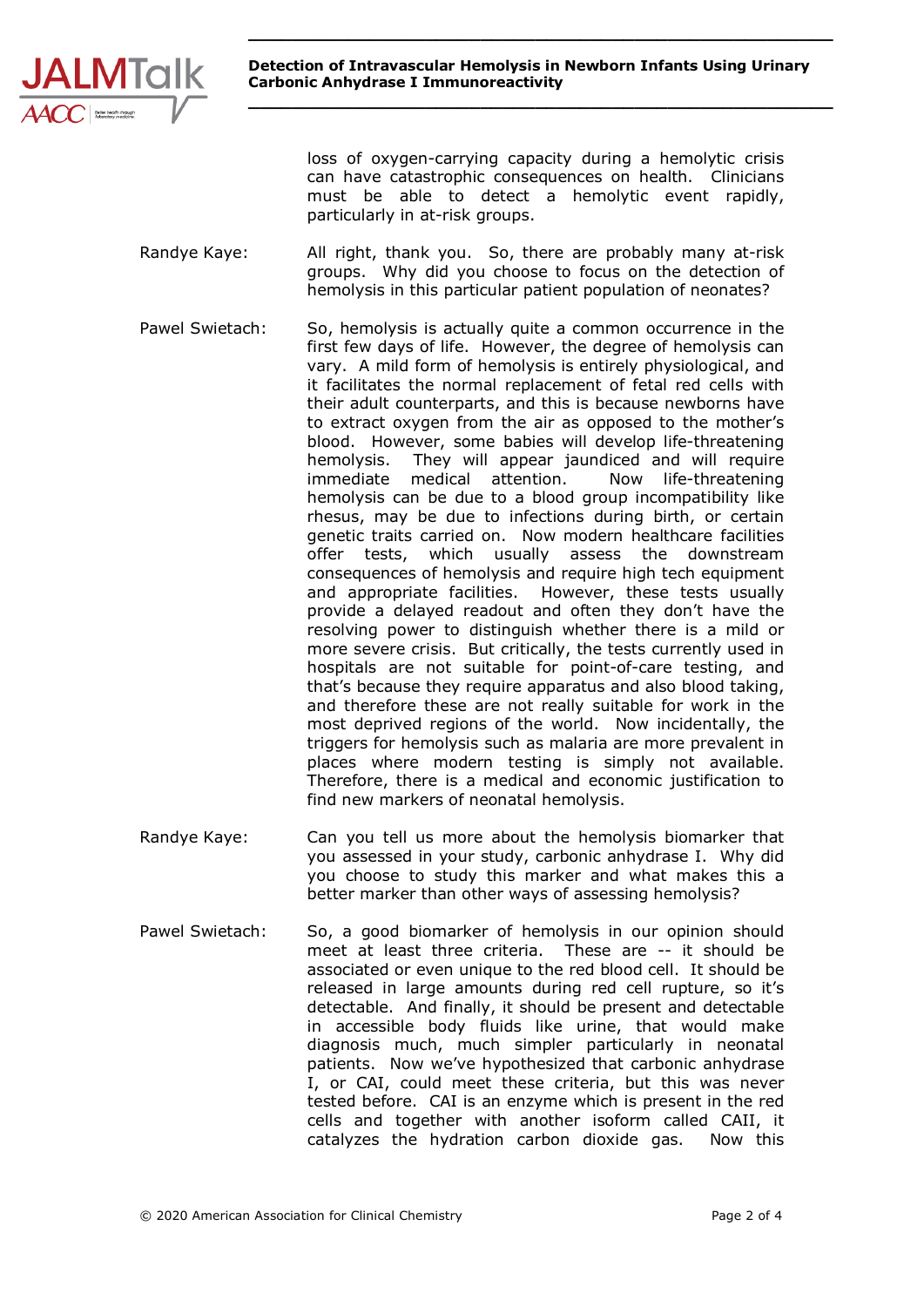

**\_\_\_\_\_\_\_\_\_\_\_\_\_\_\_\_\_\_\_\_\_\_\_\_\_\_\_\_\_\_\_\_\_\_\_\_\_\_\_\_\_\_\_\_\_\_\_\_\_\_\_\_\_**

loss of oxygen-carrying capacity during a hemolytic crisis can have catastrophic consequences on health. Clinicians must be able to detect a hemolytic event rapidly, particularly in at-risk groups.

- Randye Kaye: All right, thank you. So, there are probably many at-risk groups. Why did you choose to focus on the detection of hemolysis in this particular patient population of neonates?
- Pawel Swietach: So, hemolysis is actually quite a common occurrence in the first few days of life. However, the degree of hemolysis can vary. A mild form of hemolysis is entirely physiological, and it facilitates the normal replacement of fetal red cells with their adult counterparts, and this is because newborns have to extract oxygen from the air as opposed to the mother's blood. However, some babies will develop life-threatening hemolysis. They will appear jaundiced and will require immediate medical attention. Now life-threatening hemolysis can be due to a blood group incompatibility like rhesus, may be due to infections during birth, or certain genetic traits carried on. Now modern healthcare facilities offer tests, which usually assess the downstream consequences of hemolysis and require high tech equipment and appropriate facilities. However, these tests usually provide a delayed readout and often they don't have the resolving power to distinguish whether there is a mild or more severe crisis. But critically, the tests currently used in hospitals are not suitable for point-of-care testing, and that's because they require apparatus and also blood taking, and therefore these are not really suitable for work in the most deprived regions of the world. Now incidentally, the triggers for hemolysis such as malaria are more prevalent in places where modern testing is simply not available. Therefore, there is a medical and economic justification to find new markers of neonatal hemolysis.
- Randye Kaye: Can you tell us more about the hemolysis biomarker that you assessed in your study, carbonic anhydrase I. Why did you choose to study this marker and what makes this a better marker than other ways of assessing hemolysis?
- Pawel Swietach: So, a good biomarker of hemolysis in our opinion should meet at least three criteria. These are -- it should be associated or even unique to the red blood cell. It should be released in large amounts during red cell rupture, so it's detectable. And finally, it should be present and detectable in accessible body fluids like urine, that would make diagnosis much, much simpler particularly in neonatal patients. Now we've hypothesized that carbonic anhydrase I, or CAI, could meet these criteria, but this was never tested before. CAI is an enzyme which is present in the red cells and together with another isoform called CAII, it catalyzes the hydration carbon dioxide gas. Now this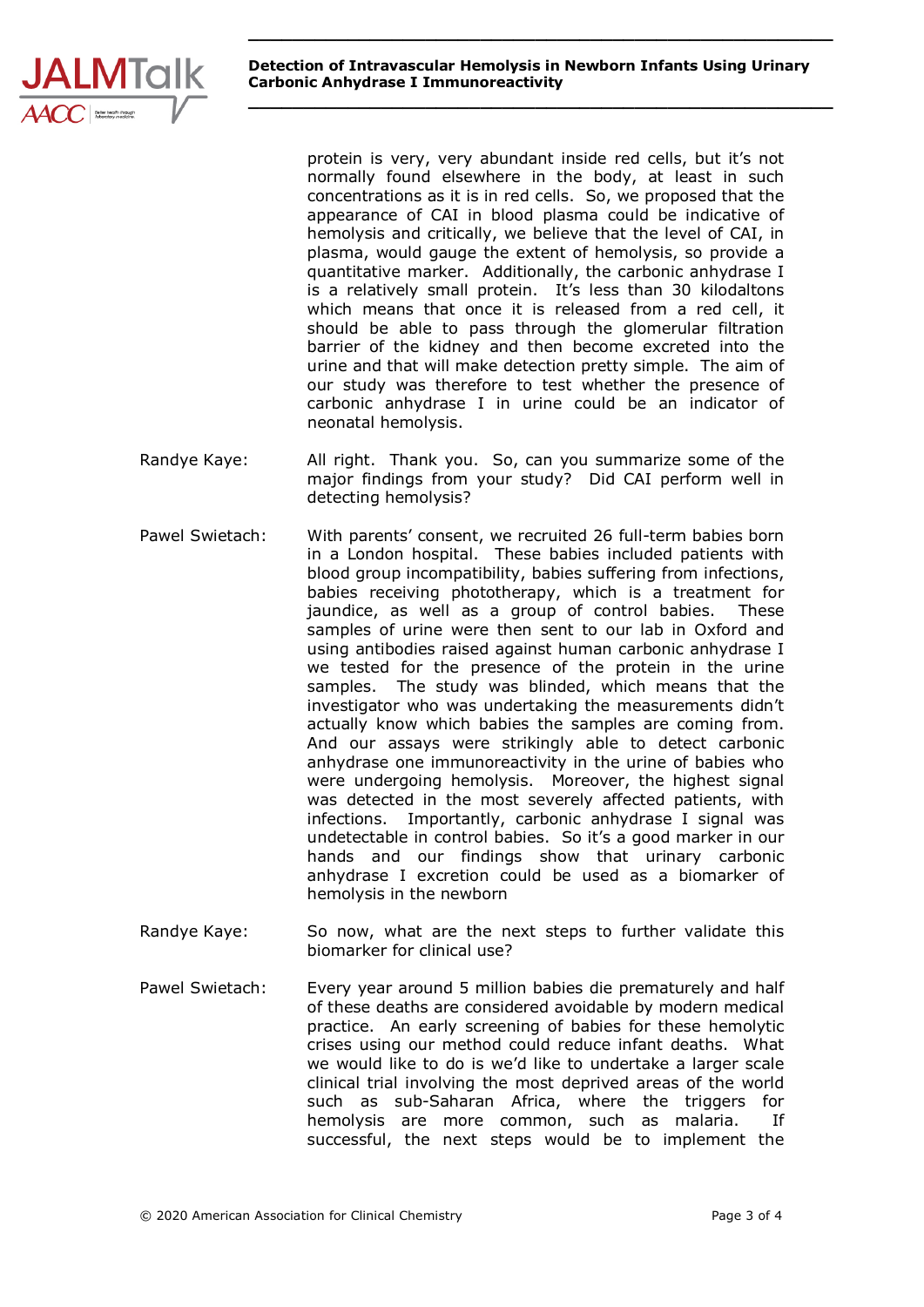

**\_\_\_\_\_\_\_\_\_\_\_\_\_\_\_\_\_\_\_\_\_\_\_\_\_\_\_\_\_\_\_\_\_\_\_\_\_\_\_\_\_\_\_\_\_\_\_\_\_\_\_\_\_**

protein is very, very abundant inside red cells, but it's not normally found elsewhere in the body, at least in such concentrations as it is in red cells. So, we proposed that the appearance of CAI in blood plasma could be indicative of hemolysis and critically, we believe that the level of CAI, in plasma, would gauge the extent of hemolysis, so provide a quantitative marker. Additionally, the carbonic anhydrase I is a relatively small protein. It's less than 30 kilodaltons which means that once it is released from a red cell, it should be able to pass through the glomerular filtration barrier of the kidney and then become excreted into the urine and that will make detection pretty simple. The aim of our study was therefore to test whether the presence of carbonic anhydrase I in urine could be an indicator of neonatal hemolysis.

- Randye Kaye: All right. Thank you. So, can you summarize some of the major findings from your study? Did CAI perform well in detecting hemolysis?
- Pawel Swietach: With parents' consent, we recruited 26 full-term babies born in a London hospital. These babies included patients with blood group incompatibility, babies suffering from infections, babies receiving phototherapy, which is a treatment for jaundice, as well as a group of control babies. These samples of urine were then sent to our lab in Oxford and using antibodies raised against human carbonic anhydrase I we tested for the presence of the protein in the urine samples. The study was blinded, which means that the investigator who was undertaking the measurements didn't actually know which babies the samples are coming from. And our assays were strikingly able to detect carbonic anhydrase one immunoreactivity in the urine of babies who were undergoing hemolysis. Moreover, the highest signal was detected in the most severely affected patients, with infections. Importantly, carbonic anhydrase I signal was undetectable in control babies. So it's a good marker in our hands and our findings show that urinary carbonic anhydrase I excretion could be used as a biomarker of hemolysis in the newborn
- Randye Kaye: So now, what are the next steps to further validate this biomarker for clinical use?
- Pawel Swietach: Every year around 5 million babies die prematurely and half of these deaths are considered avoidable by modern medical practice. An early screening of babies for these hemolytic crises using our method could reduce infant deaths. What we would like to do is we'd like to undertake a larger scale clinical trial involving the most deprived areas of the world such as sub-Saharan Africa, where the triggers for hemolysis are more common, such as malaria. If successful, the next steps would be to implement the